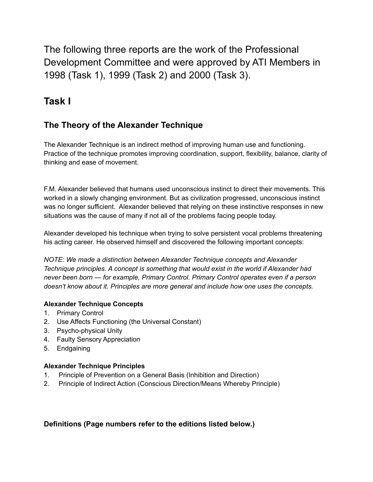The following three reports are the work of the Professional Development Committee and were approved by ATI Members in 1998 (Task 1), 1999 (Task 2) and 2000 (Task 3).

# **Task I**

# **The Theory of the Alexander Technique**

The Alexander Technique is an indirect method of improving human use and functioning. Practice of the technique promotes improving coordination, support, flexibility, balance, clarity of thinking and ease of movement.

F.M. Alexander believed that humans used unconscious instinct to direct their movements. This worked in a slowly changing environment. But as civilization progressed, unconscious instinct was no longer sufficient. Alexander believed that relying on these instinctive responses in new situations was the cause of many if not all of the problems facing people today.

Alexander developed his technique when trying to solve persistent vocal problems threatening his acting career. He observed himself and discovered the following important concepts:

*NOTE: We made a distinction between Alexander Technique concepts and Alexander Technique principles. A concept is something that would exist in the world if Alexander had never been born — for example, Primary Control. Primary Control operates even if a person doesn't know about it. Principles are more general and include how one uses the concepts.*

### **Alexander Technique Concepts**

- 1. Primary Control
- 2. Use Affects Functioning (the Universal Constant)
- 3. Psycho-physical Unity
- 4. Faulty Sensory Appreciation
- 5. Endgaining

### **Alexander Technique Principles**

- 1. Principle of Prevention on a General Basis (Inhibition and Direction)
- 2. Principle of Indirect Action (Conscious Direction/Means Whereby Principle)

### **Definitions (Page numbers refer to the editions listed below.)**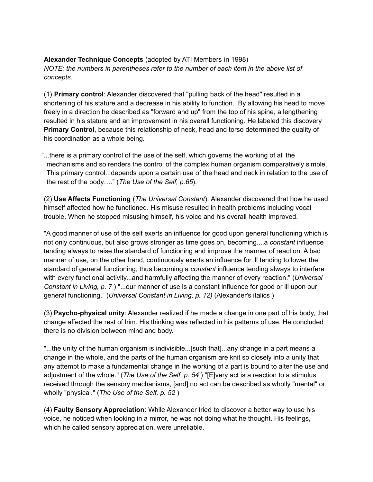#### **Alexander Technique Concepts** (adopted by ATI Members in 1998) *NOTE: the numbers in parentheses refer to the number of each item in the above list of concepts.*

(1) **Primary control**: Alexander discovered that "pulling back of the head" resulted in a shortening of his stature and a decrease in his ability to function. By allowing his head to move freely in a direction he described as "forward and up" from the top of his spine, a lengthening resulted in his stature and an improvement in his overall functioning. He labeled this discovery **Primary Control**, because this relationship of neck, head and torso determined the quality of his coordination as a whole being.

"...there is a primary control of the use of the self, which governs the working of all the mechanisms and so renders the control of the complex human organism comparatively simple. This primary control...depends upon a certain use of the head and neck in relation to the use of the rest of the body…." (*The Use of the Self, p.65*).

(2) **Use Affects Functioning** (*The Universal Constant*): Alexander discovered that how he used himself affected how he functioned. His misuse resulted in health problems including vocal trouble. When he stopped misusing himself, his voice and his overall health improved.

"A good manner of use of the self exerts an influence for good upon general functioning which is not only continuous, but also grows stronger as time goes on, becoming....a *constant* influence tending always to raise the standard of functioning and improve the manner of reaction. A bad manner of use, on the other hand, continuously exerts an influence for ill tending to lower the standard of general functioning, thus becoming a *constant* influence tending always to interfere with every functional activity...and harmfully affecting the manner of every reaction." (*Universal Constant in Living, p. 7* ) "...our manner of use is a constant influence for good or ill upon our general functioning." (*Universal Constant in Living, p. 12)* (Alexander's italics )

(3) **Psycho-physical unity**: Alexander realized if he made a change in one part of his body, that change affected the rest of him. His thinking was reflected in his patterns of use. He concluded there is no division between mind and body.

"...the unity of the human organism is indivisible...[such that]...any change in a part means a change in the whole, and the parts of the human organism are knit so closely into a unity that any attempt to make a fundamental change in the working of a part is bound to alter the use and adjustment of the whole." (*The Use of the Self, p. 54* ) "[E]very act is a reaction to a stimulus received through the sensory mechanisms, [and] no act can be described as wholly "mental" or wholly "physical." (*The Use of the Self, p. 52* )

(4) **Faulty Sensory Appreciation**: While Alexander tried to discover a better way to use his voice, he noticed when looking in a mirror, he was not doing what he thought. His feelings, which he called sensory appreciation, were unreliable.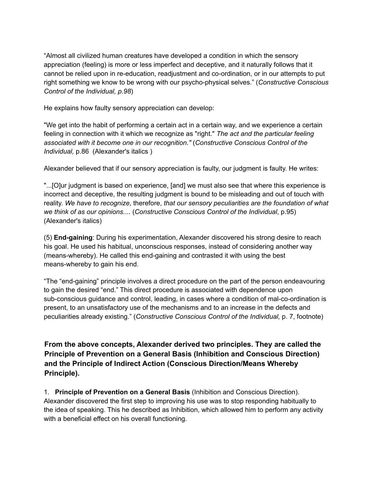"Almost all civilized human creatures have developed a condition in which the sensory appreciation (feeling) is more or less imperfect and deceptive, and it naturally follows that it cannot be relied upon in re-education, readjustment and co-ordination, or in our attempts to put right something we know to be wrong with our psycho-physical selves." (*Constructive Conscious Control of the Individual, p.98*)

He explains how faulty sensory appreciation can develop:

"We get into the habit of performing a certain act in a certain way, and we experience a certain feeling in connection with it which we recognize as "right." *The act and the particular feeling associated with it become one in our recognition."* (*Constructive Conscious Control of the Individual,* p.86 (Alexander's italics )

Alexander believed that if our sensory appreciation is faulty, our judgment is faulty. He writes:

"...[O]ur judgment is based on experience, [and] we must also see that where this experience is incorrect and deceptive, the resulting judgment is bound to be misleading and out of touch with reality. *We have to recognize*, therefore, *that our sensory peculiarities are the foundation of what we think of as our opinions.*... (*Constructive Conscious Control of the Individual*, p.95) (Alexander's italics)

(5) **End-gaining**: During his experimentation, Alexander discovered his strong desire to reach his goal. He used his habitual, unconscious responses, instead of considering another way (means-whereby). He called this end-gaining and contrasted it with using the best means-whereby to gain his end.

"The "end-gaining" principle involves a direct procedure on the part of the person endeavouring to gain the desired "end." This direct procedure is associated with dependence upon sub-conscious guidance and control, leading, in cases where a condition of mal-co-ordination is present, to an unsatisfactory use of the mechanisms and to an increase in the defects and peculiarities already existing." (*Constructive Conscious Control of the Individual,* p. 7, footnote)

**From the above concepts, Alexander derived two principles. They are called the Principle of Prevention on a General Basis (Inhibition and Conscious Direction) and the Principle of Indirect Action (Conscious Direction/Means Whereby Principle).**

1. **Principle of Prevention on a General Basis** (Inhibition and Conscious Direction). Alexander discovered the first step to improving his use was to stop responding habitually to the idea of speaking. This he described as Inhibition, which allowed him to perform any activity with a beneficial effect on his overall functioning.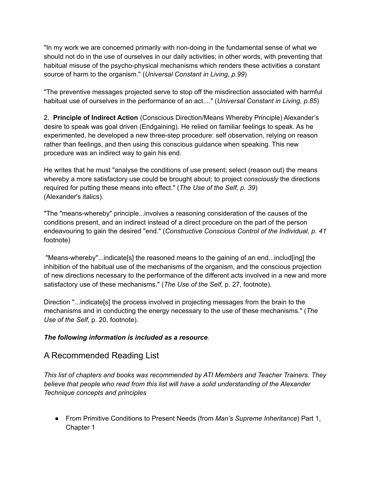"In my work we are concerned primarily with non-doing in the fundamental sense of what we should not do in the use of ourselves in our daily activities; in other words, with preventing that habitual misuse of the psycho-physical mechanisms which renders these activities a constant source of harm to the organism." (*Universal Constant in Living, p.99*)

"The preventive messages projected serve to stop off the misdirection associated with harmful habitual use of ourselves in the performance of an act...." (*Universal Constant in Living, p.85*)

2. **Principle of Indirect Action** (Conscious Direction/Means Whereby Principle) Alexander's desire to speak was goal driven (Endgaining). He relied on familiar feelings to speak. As he experimented, he developed a new three-step procedure: self observation, relying on reason rather than feelings, and then using this conscious guidance when speaking. This new procedure was an indirect way to gain his end.

He writes that he must "analyse the conditions of use present; select (reason out) the means whereby a more satisfactory use could be brought about; to project *consciously* the directions required for putting these means into effect." (*The Use of the Self, p. 39*) (Alexander's italics).

"The "means-whereby" principle...involves a reasoning consideration of the causes of the conditions present, and an indirect instead of a direct procedure on the part of the person endeavouring to gain the desired "end." (*Constructive Conscious Control of the Individual, p. 41* footnote)

"Means-whereby"...indicate[s] the reasoned means to the gaining of an end...includ[ing] the inhibition of the habitual use of the mechanisms of the organism, and the conscious projection of new directions necessary to the performance of the different acts involved in a new and more satisfactory use of these mechanisms." (*The Use of the Self,* p. 27, footnote).

Direction "...indicate[s] the process involved in projecting messages from the brain to the mechanisms and in conducting the energy necessary to the use of these mechanisms." (*The Use of the Self,* p. 20, footnote).

### *The following information is included as a resource.*

### A Recommended Reading List

*This list of chapters and books was recommended by ATI Members and Teacher Trainers. They believe that people who read from this list will have a solid understanding of the Alexander Technique concepts and principles*

● From Primitive Conditions to Present Needs (from *Man's Supreme Inheritance*) Part 1, Chapter 1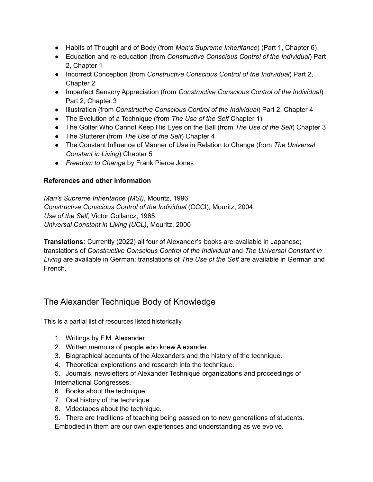- Habits of Thought and of Body (from *Man's Supreme Inheritance*) (Part 1, Chapter 6)
- Education and re-education (from *Constructive Conscious Control of the Individual*) Part 2, Chapter 1
- Incorrect Conception (from *Constructive Conscious Control of the Individual*) Part 2, Chapter 2
- Imperfect Sensory Appreciation (from *Constructive Conscious Control of the Individual*) Part 2, Chapter 3
- Illustration (from *Constructive Conscious Control of the Individual*) Part 2, Chapter 4
- The Evolution of a Technique (from *The Use of the Self* Chapter 1)
- The Golfer Who Cannot Keep His Eyes on the Ball (from *The Use of the Self*) Chapter 3
- The Stutterer (from *The Use of the Self*) Chapter 4
- The Constant Influence of Manner of Use in Relation to Change (from *The Universal Constant in Living*) Chapter 5
- *Freedom to Change* by Frank Pierce Jones

### **References and other information**

*Man's Supreme Inheritance (MSI)*, Mouritz, 1996. *Constructive Conscious Control of the Individual* (CCCl), Mouritz, 2004. *Use of the Self*, Victor Gollancz, 1985. *Universal Constant in Living (UCL)*, Mouritz, 2000

**Translations:** Currently (2022) all four of Alexander's books are available in Japanese; translations of *Constructive Conscious Control of the Individual* and *The Universal Constant in Living* are available in German; translations of *The Use of the Self* are available in German and French.

## The Alexander Technique Body of Knowledge

This is a partial list of resources listed historically.

- 1. Writings by F.M. Alexander.
- 2. Written memoirs of people who knew Alexander.
- 3. Biographical accounts of the Alexanders and the history of the technique.
- 4. Theoretical explorations and research into the technique.
- 5. Journals, newsletters of Alexander Technique organizations and proceedings of International Congresses.
- 6. Books about the technique.
- 7. Oral history of the technique.
- 8. Videotapes about the technique.
- 9. There are traditions of teaching being passed on to new generations of students.

Embodied in them are our own experiences and understanding as we evolve.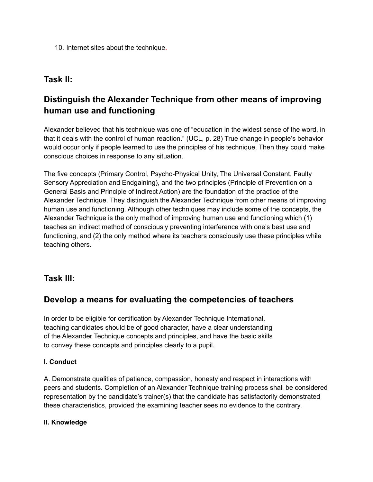10. Internet sites about the technique.

### **Task II:**

# **Distinguish the Alexander Technique from other means of improving human use and functioning**

Alexander believed that his technique was one of "education in the widest sense of the word, in that it deals with the control of human reaction." (UCL, p. 28) True change in people's behavior would occur only if people learned to use the principles of his technique. Then they could make conscious choices in response to any situation.

The five concepts (Primary Control, Psycho-Physical Unity, The Universal Constant, Faulty Sensory Appreciation and Endgaining), and the two principles (Principle of Prevention on a General Basis and Principle of Indirect Action) are the foundation of the practice of the Alexander Technique. They distinguish the Alexander Technique from other means of improving human use and functioning. Although other techniques may include some of the concepts, the Alexander Technique is the only method of improving human use and functioning which (1) teaches an indirect method of consciously preventing interference with one's best use and functioning, and (2) the only method where its teachers consciously use these principles while teaching others.

## **Task III:**

### **Develop a means for evaluating the competencies of teachers**

In order to be eligible for certification by Alexander Technique International, teaching candidates should be of good character, have a clear understanding of the Alexander Technique concepts and principles, and have the basic skills to convey these concepts and principles clearly to a pupil.

### **I. Conduct**

A. Demonstrate qualities of patience, compassion, honesty and respect in interactions with peers and students. Completion of an Alexander Technique training process shall be considered representation by the candidate's trainer(s) that the candidate has satisfactorily demonstrated these characteristics, provided the examining teacher sees no evidence to the contrary.

### **II. Knowledge**